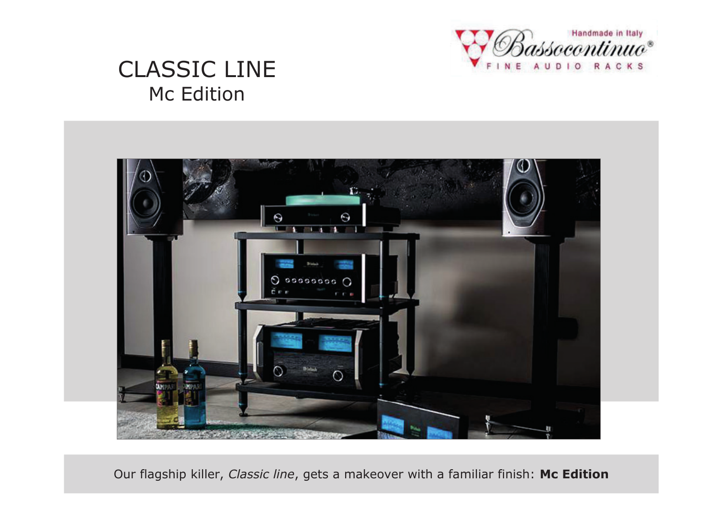

## **CLASSIC LINE** Mc Edition



Our flagship killer, Classic line, gets a makeover with a familiar finish: Mc Edition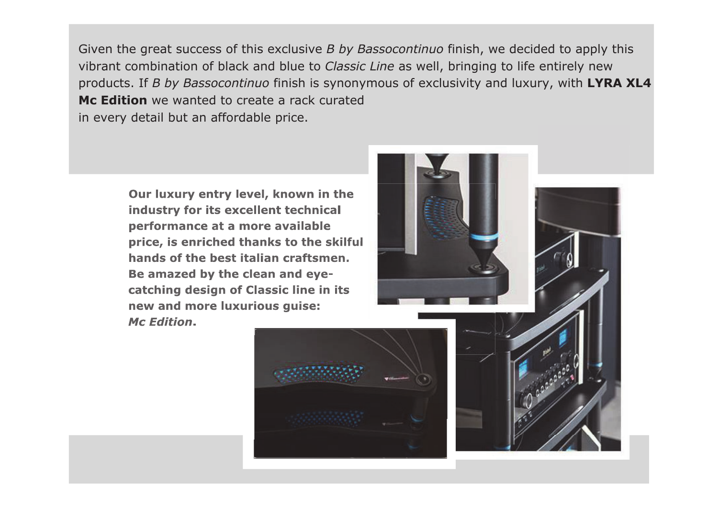Given the great success of this exclusive B by Bassocontinuo finish, we decided to apply this vibrant combination of black and blue to Classic Line as well, bringing to life entirely new products. If B by Bassocontinuo finish is synonymous of exclusivity and luxury, with LYRA XL4 Mc Edition we wanted to create a rack curated in every detail but an affordable price.

Our luxury entry level, known in the industry for its excellent technical performance at a more available price, is enriched thanks to the skilful hands of the best italian craftsmen. Be amazed by the clean and eyecatching design of Classic line in its new and more luxurious quise: **Mc Edition.** 



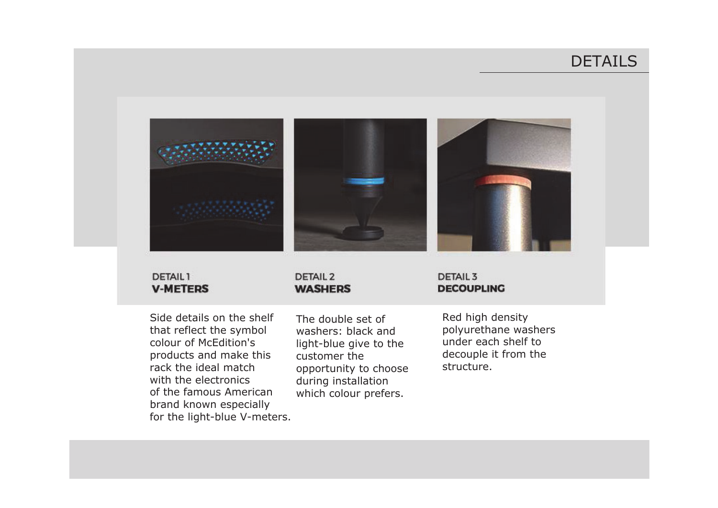## **DETAILS**



**DETAIL1 V-METERS**  **DETAIL 2 WASHERS**  **DETAIL 3 DECOUPLING** 

Side details on the shelf that reflect the symbol colour of McEdition's products and make this rack the ideal match with the electronics of the famous American brand known especially for the light-blue V-meters.

The double set of washers: black and light-blue give to the customer the opportunity to choose during installation which colour prefers.

Red high density polyurethane washers under each shelf to decouple it from the structure.